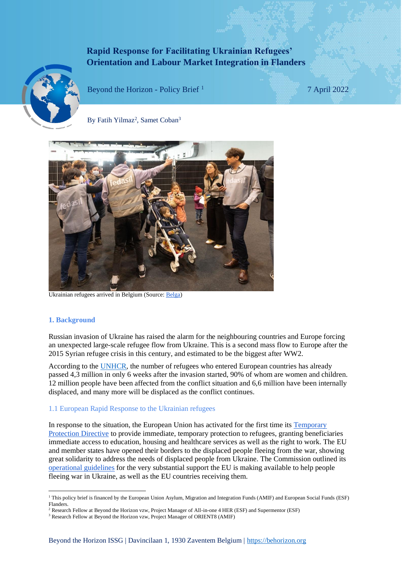# **Rapid Response for Facilitating Ukrainian Refugees' Orientation and Labour Market Integration in Flanders**



Beyond the Horizon - Policy Brief <sup>1</sup> 7 April 2022

By Fatih Yilmaz<sup>2</sup>, Samet Coban<sup>3</sup>



Ukrainian refugees arrived in Belgium (Source: [Belga\)](https://twitter.com/Belga_English/status/1509221096184332296/photo/1)

#### **1. Background**

Russian invasion of Ukraine has raised the alarm for the neighbouring countries and Europe forcing an unexpected large-scale refugee flow from Ukraine. This is a second mass flow to Europe after the 2015 Syrian refugee crisis in this century, and estimated to be the biggest after WW2.

According to the [UNHCR,](https://data2.unhcr.org/en/situations/ukraine) the number of refugees who entered European countries has already passed 4,3 million in only 6 weeks after the invasion started, 90% of whom are women and children. 12 million people have been affected from the conflict situation and 6,6 million have been internally displaced, and many more will be displaced as the conflict continues.

## 1.1 European Rapid Response to the Ukrainian refugees

In response to the situation, the European Union has activated for the first time its [Temporary](https://www.consilium.europa.eu/en/press/press-releases/2022/03/04/ukraine-council-introduces-temporary-protection-for-persons-fleeing-the-war/)  [Protection Directive](https://www.consilium.europa.eu/en/press/press-releases/2022/03/04/ukraine-council-introduces-temporary-protection-for-persons-fleeing-the-war/) to provide immediate, temporary protection to refugees, granting beneficiaries immediate access to education, housing and healthcare services as well as the right to work. The EU and member states have opened their borders to the displaced people fleeing from the war, showing great solidarity to address the needs of displaced people from Ukraine. The Commission outlined its [operational guidelines](https://ec.europa.eu/info/files/communication-european-solidarity-refugees-and-those-fleeing-war-ukraine_en) for the very substantial support the EU is making available to help people fleeing war in Ukraine, as well as the EU countries receiving them.

<sup>&</sup>lt;sup>1</sup> This policy brief is financed by the European Union Asylum, Migration and Integration Funds (AMIF) and European Social Funds (ESF) Flanders.

<sup>2</sup> Research Fellow at Beyond the Horizon vzw, Project Manager of All-in-one 4 HER (ESF) and Supermentor (ESF)

<sup>&</sup>lt;sup>3</sup> Research Fellow at Beyond the Horizon vzw, Project Manager of ORIENT8 (AMIF)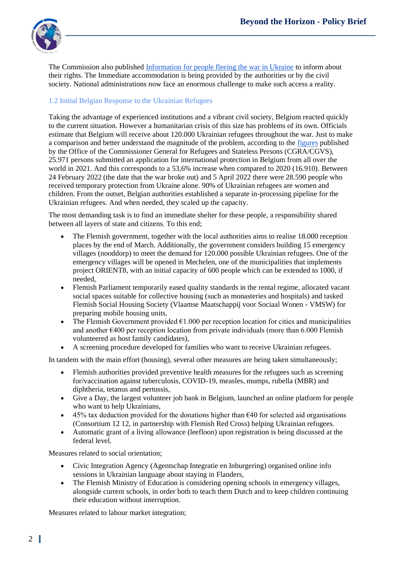

The Commission also published [Information for people fleeing the war in Ukraine](https://ec.europa.eu/info/strategy/priorities-2019-2024/stronger-europe-world/eu-solidarity-ukraine/eu-assistance-ukraine/information-people-fleeing-war-ukraine_en) to inform about their rights. The Immediate accommodation is being provided by the authorities or by the civil society. National administrations now face an enormous challenge to make such access a reality.

## 1.2 Initial Belgian Response to the Ukrainian Refugees

Taking the advantage of experienced institutions and a vibrant civil society, Belgium reacted quickly to the current situation. However a humanitarian crisis of this size has problems of its own. Officials estimate that Belgium will receive about 120.000 Ukrainian refugees throughout the war. Just to make a comparison and better understand the magnitude of the problem, according to the [figures](https://www.cgrs.be/en/news/asylum-statistics-2021-survey) published by the Office of the Commissioner General for Refugees and Stateless Persons (CGRA/CGVS), 25.971 persons submitted an application for international protection in Belgium from all over the world in 2021. And this corresponds to a 53,6% increase when compared to 2020 (16.910). Between 24 February 2022 (the date that the war broke out) and 5 April 2022 there were 28.590 people who received temporary protection from Ukraine alone. 90% of Ukrainian refugees are women and children. From the outset, Belgian authorities established a separate in-processing pipeline for the Ukrainian refugees. And when needed, they scaled up the capacity.

The most demanding task is to find an immediate shelter for these people, a responsibility shared between all layers of state and citizens. To this end;

- The Flemish government, together with the local authorities aims to realise 18.000 reception places by the end of March. Additionally, the government considers building 15 emergency villages (nooddorp) to meet the demand for 120.000 possible Ukrainian refugees. One of the emergency villages will be opened in Mechelen, one of the municipalities that implements project ORIENT8, with an initial capacity of 600 people which can be extended to 1000, if needed,
- Flemish Parliament temporarily eased quality standards in the rental regime, allocated vacant social spaces suitable for collective housing (such as monasteries and hospitals) and tasked Flemish Social Housing Society (Vlaamse Maatschappij voor Sociaal Wonen - VMSW) for preparing mobile housing units,
- The Flemish Government provided  $E1.000$  per reception location for cities and municipalities and another  $\epsilon$ 400 per reception location from private individuals (more than 6.000 Flemish volunteered as host family candidates),
- A screening procedure developed for families who want to receive Ukrainian refugees.

In tandem with the main effort (housing), several other measures are being taken simultaneously;

- Flemish authorities provided preventive health measures for the refugees such as screening for/vaccination against tuberculosis, COVID-19, measles, mumps, rubella (MBR) and diphtheria, tetanus and pertussis,
- Give a Day, the largest volunteer job bank in Belgium, launched an online platform for people who want to help Ukrainians,
- 45% tax deduction provided for the donations higher than  $\epsilon$ 40 for selected aid organisations (Consortium 12 12, in partnership with Flemish Red Cross) helping Ukrainian refugees.
- Automatic grant of a living allowance (leefloon) upon registration is being discussed at the federal level.

Measures related to social orientation;

- Civic Integration Agency (Agentschap Integratie en Inburgering) organised online info sessions in Ukrainian language about staying in Flanders,
- The Flemish Ministry of Education is considering opening schools in emergency villages, alongside current schools, in order both to teach them Dutch and to keep children continuing their education without interruption.

Measures related to labour market integration;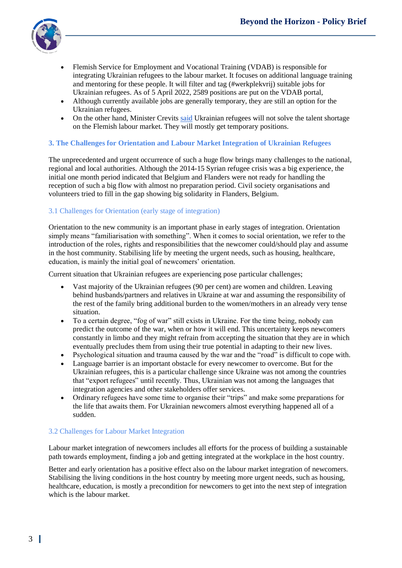

- Flemish Service for Employment and Vocational Training (VDAB) is responsible for integrating Ukrainian refugees to the labour market. It focuses on additional language training and mentoring for these people. It will filter and tag (#werkplekvrij) suitable jobs for Ukrainian refugees. As of 5 April 2022, 2589 positions are put on the VDAB portal,
- Although currently available jobs are generally temporary, they are still an option for the Ukrainian refugees.
- On the other hand, Minister Crevits [said](https://trends.knack.be/economie/beleid/vluchtelingen-zullen-krapte-op-arbeidsmarkt-niet-oplossen/article-longread-1849501.html) Ukrainian refugees will not solve the talent shortage on the Flemish labour market. They will mostly get temporary positions.

## **3. The Challenges for Orientation and Labour Market Integration of Ukrainian Refugees**

The unprecedented and urgent occurrence of such a huge flow brings many challenges to the national, regional and local authorities. Although the 2014-15 Syrian refugee crisis was a big experience, the initial one month period indicated that Belgium and Flanders were not ready for handling the reception of such a big flow with almost no preparation period. Civil society organisations and volunteers tried to fill in the gap showing big solidarity in Flanders, Belgium.

## 3.1 Challenges for Orientation (early stage of integration)

Orientation to the new community is an important phase in early stages of integration. Orientation simply means "familiarisation with something". When it comes to social orientation, we refer to the introduction of the roles, rights and responsibilities that the newcomer could/should play and assume in the host community. Stabilising life by meeting the urgent needs, such as housing, healthcare, education, is mainly the initial goal of newcomers' orientation.

Current situation that Ukrainian refugees are experiencing pose particular challenges;

- Vast majority of the Ukrainian refugees (90 per cent) are women and children. Leaving behind husbands/partners and relatives in Ukraine at war and assuming the responsibility of the rest of the family bring additional burden to the women/mothers in an already very tense situation.
- To a certain degree, "fog of war" still exists in Ukraine. For the time being, nobody can predict the outcome of the war, when or how it will end. This uncertainty keeps newcomers constantly in limbo and they might refrain from accepting the situation that they are in which eventually precludes them from using their true potential in adapting to their new lives.
- Psychological situation and trauma caused by the war and the "road" is difficult to cope with.
- Language barrier is an important obstacle for every newcomer to overcome. But for the Ukrainian refugees, this is a particular challenge since Ukraine was not among the countries that "export refugees" until recently. Thus, Ukrainian was not among the languages that integration agencies and other stakeholders offer services.
- Ordinary refugees have some time to organise their "trips" and make some preparations for the life that awaits them. For Ukrainian newcomers almost everything happened all of a sudden.

## 3.2 Challenges for Labour Market Integration

Labour market integration of newcomers includes all efforts for the process of building a sustainable path towards employment, finding a job and getting integrated at the workplace in the host country.

Better and early orientation has a positive effect also on the labour market integration of newcomers. Stabilising the living conditions in the host country by meeting more urgent needs, such as housing, healthcare, education, is mostly a precondition for newcomers to get into the next step of integration which is the labour market.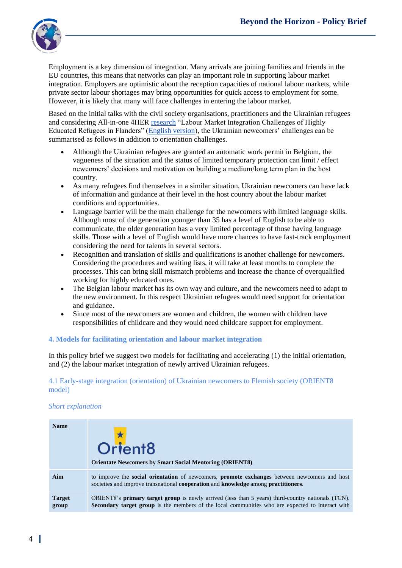

Employment is a key dimension of integration. Many arrivals are joining families and friends in the EU countries, this means that networks can play an important role in supporting labour market integration. Employers are optimistic about the reception capacities of national labour markets, while private sector labour shortages may bring opportunities for quick access to employment for some. However, it is likely that many will face challenges in entering the labour market.

Based on the initial talks with the civil society organisations, practitioners and the Ukrainian refugees and considering All-in-one 4HE[R research](https://www.all-in-one4her.eu/pdfs/handbook-versnelde-integratie.pdf) "Labour Market Integration Challenges of Highly Educated Refugees in Flanders" [\(English version\)](https://behorizon.org/wp-content/uploads/2021/08/Labour-Market-Integration-Challenges-of-Highly-Educated-Refugees-in-Flanders_HI_2021_2_1.pdf), the Ukrainian newcomers' challenges can be summarised as follows in addition to orientation challenges.

- Although the Ukrainian refugees are granted an automatic work permit in Belgium, the vagueness of the situation and the status of limited temporary protection can limit / effect newcomers' decisions and motivation on building a medium/long term plan in the host country.
- As many refugees find themselves in a similar situation, Ukrainian newcomers can have lack of information and guidance at their level in the host country about the labour market conditions and opportunities.
- Language barrier will be the main challenge for the newcomers with limited language skills. Although most of the generation younger than 35 has a level of English to be able to communicate, the older generation has a very limited percentage of those having language skills. Those with a level of English would have more chances to have fast-track employment considering the need for talents in several sectors.
- Recognition and translation of skills and qualifications is another challenge for newcomers. Considering the procedures and waiting lists, it will take at least months to complete the processes. This can bring skill mismatch problems and increase the chance of overqualified working for highly educated ones.
- The Belgian labour market has its own way and culture, and the newcomers need to adapt to the new environment. In this respect Ukrainian refugees would need support for orientation and guidance.
- Since most of the newcomers are women and children, the women with children have responsibilities of childcare and they would need childcare support for employment.

## **4. Models for facilitating orientation and labour market integration**

In this policy brief we suggest two models for facilitating and accelerating (1) the initial orientation, and (2) the labour market integration of newly arrived Ukrainian refugees.

#### 4.1 Early-stage integration (orientation) of Ukrainian newcomers to Flemish society (ORIENT8 model)

#### *Short explanation*

| <b>Name</b>            | Orient <sub>8</sub><br><b>Orientate Newcomers by Smart Social Mentoring (ORIENT8)</b>                                                                                                                                  |
|------------------------|------------------------------------------------------------------------------------------------------------------------------------------------------------------------------------------------------------------------|
| Aim                    | to improve the <b>social orientation</b> of newcomers, <b>promote exchanges</b> between newcomers and host<br>societies and improve transnational <b>cooperation</b> and <b>knowledge</b> among <b>practitioners</b> . |
| <b>Target</b><br>group | ORIENT8's <b>primary target group</b> is newly arrived (less than 5 years) third-country nationals (TCN).<br><b>Secondary target group</b> is the members of the local communities who are expected to interact with   |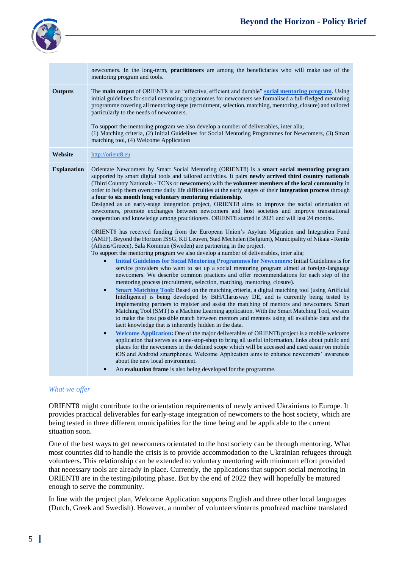

|                    | newcomers. In the long-term, <b>practitioners</b> are among the beneficiaries who will make use of the<br>mentoring program and tools.                                                                                                                                                                                                                                                                                                                                                                                                                                                                                                                                                                                                                                                                                                                                                                                                                                                                                                                                                                                                                                                                                                                                                                                                                                                                                                                                                                                                                                                                                                                                                                                                                                                                                                                                                                                                                                                                                                                                                                                                                                                                                                                                                                                                                                                                                                                                                                                                                                                                                                                                  |
|--------------------|-------------------------------------------------------------------------------------------------------------------------------------------------------------------------------------------------------------------------------------------------------------------------------------------------------------------------------------------------------------------------------------------------------------------------------------------------------------------------------------------------------------------------------------------------------------------------------------------------------------------------------------------------------------------------------------------------------------------------------------------------------------------------------------------------------------------------------------------------------------------------------------------------------------------------------------------------------------------------------------------------------------------------------------------------------------------------------------------------------------------------------------------------------------------------------------------------------------------------------------------------------------------------------------------------------------------------------------------------------------------------------------------------------------------------------------------------------------------------------------------------------------------------------------------------------------------------------------------------------------------------------------------------------------------------------------------------------------------------------------------------------------------------------------------------------------------------------------------------------------------------------------------------------------------------------------------------------------------------------------------------------------------------------------------------------------------------------------------------------------------------------------------------------------------------------------------------------------------------------------------------------------------------------------------------------------------------------------------------------------------------------------------------------------------------------------------------------------------------------------------------------------------------------------------------------------------------------------------------------------------------------------------------------------------------|
| <b>Outputs</b>     | The main output of ORIENT8 is an "effective, efficient and durable" social mentoring program. Using<br>initial guidelines for social mentoring programmes for newcomers we formalised a full-fledged mentoring<br>programme covering all mentoring steps (recruitment, selection, matching, mentoring, closure) and tailored<br>particularly to the needs of newcomers.<br>To support the mentoring program we also develop a number of deliverables, inter alia;<br>(1) Matching criteria, (2) Initial Guidelines for Social Mentoring Programmes for Newcomers, (3) Smart<br>matching tool, (4) Welcome Application                                                                                                                                                                                                                                                                                                                                                                                                                                                                                                                                                                                                                                                                                                                                                                                                                                                                                                                                                                                                                                                                                                                                                                                                                                                                                                                                                                                                                                                                                                                                                                                                                                                                                                                                                                                                                                                                                                                                                                                                                                                   |
| Website            | http://orient8.eu                                                                                                                                                                                                                                                                                                                                                                                                                                                                                                                                                                                                                                                                                                                                                                                                                                                                                                                                                                                                                                                                                                                                                                                                                                                                                                                                                                                                                                                                                                                                                                                                                                                                                                                                                                                                                                                                                                                                                                                                                                                                                                                                                                                                                                                                                                                                                                                                                                                                                                                                                                                                                                                       |
| <b>Explanation</b> | Orientate Newcomers by Smart Social Mentoring (ORIENT8) is a smart social mentoring program<br>supported by smart digital tools and tailored activities. It pairs newly arrived third country nationals<br>(Third Country Nationals - TCNs or newcomers) with the volunteer members of the local community in<br>order to help them overcome daily life difficulties at the early stages of their integration process through<br>a four to six month long voluntary mentoring relationship.<br>Designed as an early-stage integration project, ORIENT8 aims to improve the social orientation of<br>newcomers, promote exchanges between newcomers and host societies and improve transnational<br>cooperation and knowledge among practitioners. ORIENT8 started in 2021 and will last 24 months.<br>ORIENT8 has received funding from the European Union's Asylum Migration and Integration Fund<br>(AMIF). Beyond the Horizon ISSG, KU Leuven, Stad Mechelen (Belgium), Municipality of Nikaia - Rentis<br>(Athens/Greece), Sala Kommun (Sweden) are partnering in the project.<br>To support the mentoring program we also develop a number of deliverables, inter alia;<br><b>Initial Guidelines for Social Mentoring Programmes for Newcomers: Initial Guidelines is for</b><br>$\bullet$<br>service providers who want to set up a social mentoring program aimed at foreign-language<br>newcomers. We describe common practices and offer recommendations for each step of the<br>mentoring process (recruitment, selection, matching, mentoring, closure).<br><b>Smart Matching Tool:</b> Based on the matching criteria, a digital matching tool (using Artificial<br>$\bullet$<br>Intelligence) is being developed by BtH/Clarusway DE, and is currently being tested by<br>implementing partners to register and assist the matching of mentors and newcomers. Smart<br>Matching Tool (SMT) is a Machine Learning application. With the Smart Matching Tool, we aim<br>to make the best possible match between mentors and mentees using all available data and the<br>tacit knowledge that is inherently hidden in the data.<br>Welcome Application: One of the major deliverables of ORIENT8 project is a mobile welcome<br>$\bullet$<br>application that serves as a one-stop-shop to bring all useful information, links about public and<br>places for the newcomers in the defined scope which will be accessed and used easier on mobile<br>iOS and Android smartphones. Welcome Application aims to enhance newcomers' awareness<br>about the new local environment.<br>An evaluation frame is also being developed for the programme.<br>$\bullet$ |

#### *What we offer*

ORIENT8 might contribute to the orientation requirements of newly arrived Ukrainians to Europe. It provides practical deliverables for early-stage integration of newcomers to the host society, which are being tested in three different municipalities for the time being and be applicable to the current situation soon.

One of the best ways to get newcomers orientated to the host society can be through mentoring. What most countries did to handle the crisis is to provide accommodation to the Ukrainian refugees through volunteers. This relationship can be extended to voluntary mentoring with minimum effort provided that necessary tools are already in place. Currently, the applications that support social mentoring in ORIENT8 are in the testing/piloting phase. But by the end of 2022 they will hopefully be matured enough to serve the community.

In line with the project plan, Welcome Application supports English and three other local languages (Dutch, Greek and Swedish). However, a number of volunteers/interns proofread machine translated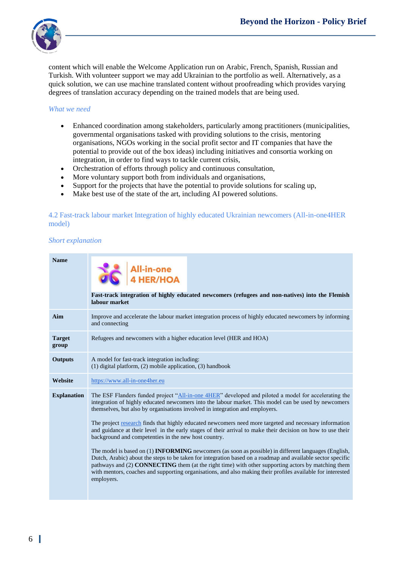

content which will enable the Welcome Application run on Arabic, French, Spanish, Russian and Turkish. With volunteer support we may add Ukrainian to the portfolio as well. Alternatively, as a quick solution, we can use machine translated content without proofreading which provides varying degrees of translation accuracy depending on the trained models that are being used.

### *What we need*

- Enhanced coordination among stakeholders, particularly among practitioners (municipalities, governmental organisations tasked with providing solutions to the crisis, mentoring organisations, NGOs working in the social profit sector and IT companies that have the potential to provide out of the box ideas) including initiatives and consortia working on integration, in order to find ways to tackle current crisis,
- Orchestration of efforts through policy and continuous consultation,
- More voluntary support both from individuals and organisations,
- Support for the projects that have the potential to provide solutions for scaling up,
- Make best use of the state of the art, including AI powered solutions.

## 4.2 Fast-track labour market Integration of highly educated Ukrainian newcomers (All-in-one4HER model)

### *Short explanation*

| <b>Name</b>            | All-in-one<br>Fast-track integration of highly educated newcomers (refugees and non-natives) into the Flemish<br>labour market                                                                                                                                                                                                                                                                                                                                                                                                                                                                                                                                                                                                                                                                                                                                                                                                                                                                                                                        |
|------------------------|-------------------------------------------------------------------------------------------------------------------------------------------------------------------------------------------------------------------------------------------------------------------------------------------------------------------------------------------------------------------------------------------------------------------------------------------------------------------------------------------------------------------------------------------------------------------------------------------------------------------------------------------------------------------------------------------------------------------------------------------------------------------------------------------------------------------------------------------------------------------------------------------------------------------------------------------------------------------------------------------------------------------------------------------------------|
| Aim                    | Improve and accelerate the labour market integration process of highly educated newcomers by informing<br>and connecting                                                                                                                                                                                                                                                                                                                                                                                                                                                                                                                                                                                                                                                                                                                                                                                                                                                                                                                              |
| <b>Target</b><br>group | Refugees and newcomers with a higher education level (HER and HOA)                                                                                                                                                                                                                                                                                                                                                                                                                                                                                                                                                                                                                                                                                                                                                                                                                                                                                                                                                                                    |
| <b>Outputs</b>         | A model for fast-track integration including:<br>$(1)$ digital platform, $(2)$ mobile application, $(3)$ handbook                                                                                                                                                                                                                                                                                                                                                                                                                                                                                                                                                                                                                                                                                                                                                                                                                                                                                                                                     |
| Website                | https://www.all-in-one4her.eu                                                                                                                                                                                                                                                                                                                                                                                                                                                                                                                                                                                                                                                                                                                                                                                                                                                                                                                                                                                                                         |
| <b>Explanation</b>     | The ESF Flanders funded project "All-in-one 4HER" developed and piloted a model for accelerating the<br>integration of highly educated newcomers into the labour market. This model can be used by newcomers<br>themselves, but also by organisations involved in integration and employers.<br>The project research finds that highly educated newcomers need more targeted and necessary information<br>and guidance at their level in the early stages of their arrival to make their decision on how to use their<br>background and competenties in the new host country.<br>The model is based on (1) <b>INFORMING</b> newcomers (as soon as possible) in different languages (English,<br>Dutch, Arabic) about the steps to be taken for integration based on a roadmap and available sector specific<br>pathways and (2) <b>CONNECTING</b> them (at the right time) with other supporting actors by matching them<br>with mentors, coaches and supporting organisations, and also making their profiles available for interested<br>employers. |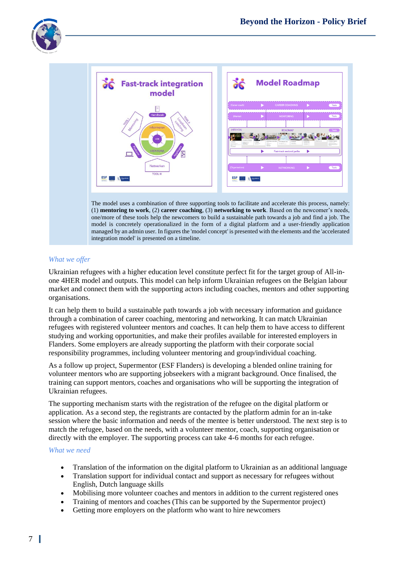



(1) **mentoring to work**, (2) **career coaching**, (3) **networking to work**. Based on the newcomer's needs, one/more of these tools help the newcomers to build a sustainable path towards a job and find a job. The model is concretely operationalized in the form of a digital platform and a user-friendly application managed by an admin user. In figures the 'model concept' is presented with the elements and the 'accelerated integration model' is presented on a timeline.

### *What we offer*

Ukrainian refugees with a higher education level constitute perfect fit for the target group of All-inone 4HER model and outputs. This model can help inform Ukrainian refugees on the Belgian labour market and connect them with the supporting actors including coaches, mentors and other supporting organisations.

It can help them to build a sustainable path towards a job with necessary information and guidance through a combination of career coaching, mentoring and networking. It can match Ukrainian refugees with registered volunteer mentors and coaches. It can help them to have access to different studying and working opportunities, and make their profiles available for interested employers in Flanders. Some employers are already supporting the platform with their corporate social responsibility programmes, including volunteer mentoring and group/individual coaching.

As a follow up project, Supermentor (ESF Flanders) is developing a blended online training for volunteer mentors who are supporting jobseekers with a migrant background. Once finalised, the training can support mentors, coaches and organisations who will be supporting the integration of Ukrainian refugees.

The supporting mechanism starts with the registration of the refugee on the digital platform or application. As a second step, the registrants are contacted by the platform admin for an in-take session where the basic information and needs of the mentee is better understood. The next step is to match the refugee, based on the needs, with a volunteer mentor, coach, supporting organisation or directly with the employer. The supporting process can take 4-6 months for each refugee.

#### *What we need*

- Translation of the information on the digital platform to Ukrainian as an additional language
- Translation support for individual contact and support as necessary for refugees without English, Dutch language skills
- Mobilising more volunteer coaches and mentors in addition to the current registered ones
- Training of mentors and coaches (This can be supported by the Supermentor project)
- Getting more employers on the platform who want to hire newcomers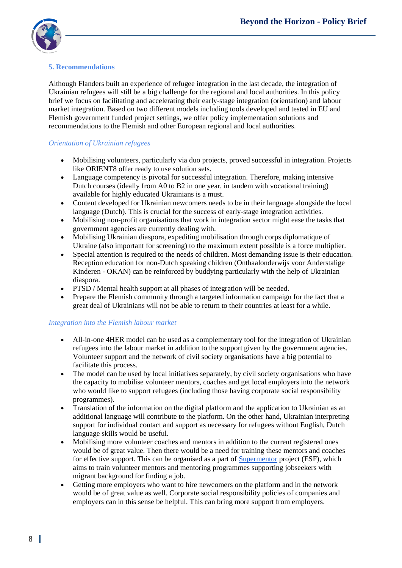

## **5. Recommendations**

Although Flanders built an experience of refugee integration in the last decade, the integration of Ukrainian refugees will still be a big challenge for the regional and local authorities. In this policy brief we focus on facilitating and accelerating their early-stage integration (orientation) and labour market integration. Based on two different models including tools developed and tested in EU and Flemish government funded project settings, we offer policy implementation solutions and recommendations to the Flemish and other European regional and local authorities.

## *Orientation of Ukrainian refugees*

- Mobilising volunteers, particularly via duo projects, proved successful in integration. Projects like ORIENT8 offer ready to use solution sets.
- Language competency is pivotal for successful integration. Therefore, making intensive Dutch courses (ideally from A0 to B2 in one year, in tandem with vocational training) available for highly educated Ukrainians is a must.
- Content developed for Ukrainian newcomers needs to be in their language alongside the local language (Dutch). This is crucial for the success of early-stage integration activities.
- Mobilising non-profit organisations that work in integration sector might ease the tasks that government agencies are currently dealing with.
- Mobilising Ukrainian diaspora, expediting mobilisation through corps diplomatique of Ukraine (also important for screening) to the maximum extent possible is a force multiplier.
- Special attention is required to the needs of children. Most demanding issue is their education. Reception education for non-Dutch speaking children (Onthaalonderwijs voor Anderstalige Kinderen - OKAN) can be reinforced by buddying particularly with the help of Ukrainian diaspora.
- PTSD / Mental health support at all phases of integration will be needed.
- Prepare the Flemish community through a targeted information campaign for the fact that a great deal of Ukrainians will not be able to return to their countries at least for a while.

#### *Integration into the Flemish labour market*

- All-in-one 4HER model can be used as a complementary tool for the integration of Ukrainian refugees into the labour market in addition to the support given by the government agencies. Volunteer support and the network of civil society organisations have a big potential to facilitate this process.
- The model can be used by local initiatives separately, by civil society organisations who have the capacity to mobilise volunteer mentors, coaches and get local employers into the network who would like to support refugees (including those having corporate social responsibility programmes).
- Translation of the information on the digital platform and the application to Ukrainian as an additional language will contribute to the platform. On the other hand, Ukrainian interpreting support for individual contact and support as necessary for refugees without English, Dutch language skills would be useful.
- Mobilising more volunteer coaches and mentors in addition to the current registered ones would be of great value. Then there would be a need for training these mentors and coaches for effective support. This can be organised as a part of [Supermentor](https://super-mentor.eu/) project (ESF), which aims to train volunteer mentors and mentoring programmes supporting jobseekers with migrant background for finding a job.
- Getting more employers who want to hire newcomers on the platform and in the network would be of great value as well. Corporate social responsibility policies of companies and employers can in this sense be helpful. This can bring more support from employers.